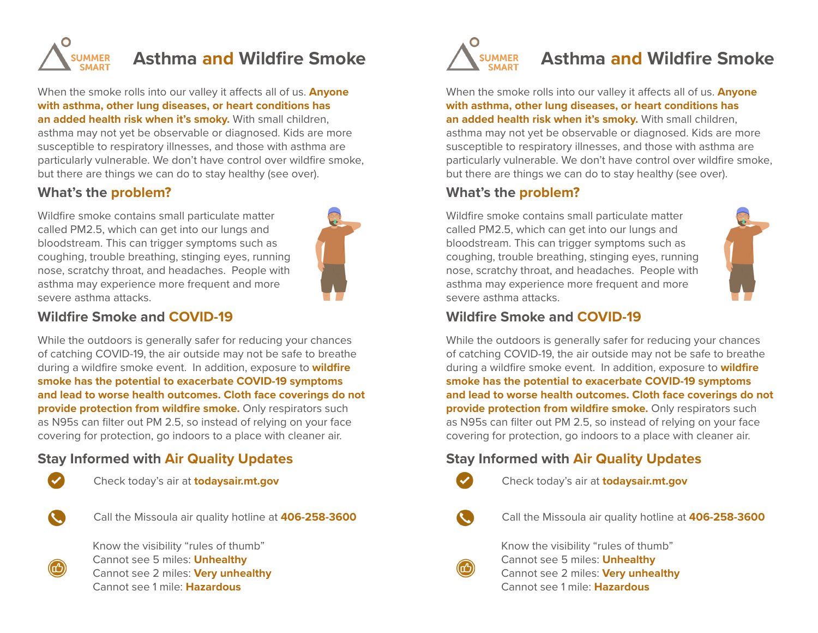

# **Asthma and Wildfire Smoke**

When the smoke rolls into our valley it affects all of us. **Anyone with asthma, other lung diseases, or heart conditions has an added health risk when it's smoky.** With small children, asthma may not yet be observable or diagnosed. Kids are more susceptible to respiratory illnesses, and those with asthma are particularly vulnerable. We don't have control over wildfire smoke, but there are things we can do to stay healthy (see over).

#### **What's the problem?**

Wildfire smoke contains small particulate matter called PM2.5, which can get into our lungs and bloodstream. This can trigger symptoms such as coughing, trouble breathing, stinging eyes, running nose, scratchy throat, and headaches. People with asthma may experience more frequent and more severe asthma attacks.



#### **Wildfire Smoke and COVID-19**

While the outdoors is generally safer for reducing your chances of catching COVID-19, the air outside may not be safe to breathe during a wildfire smoke event. In addition, exposure to **wildfire smoke has the potential to exacerbate COVID-19 symptoms and lead to worse health outcomes. Cloth face coverings do not provide protection from wildfire smoke.** Only respirators such as N95s can filter out PM 2.5, so instead of relying on your face covering for protection, go indoors to a place with cleaner air.

#### **Stay Informed with Air Quality Updates**



Check today's air at **todaysair.mt.gov**



Call the Missoula air quality hotline at **406-258-3600**



Know the visibility "rules of thumb" Cannot see 5 miles: **Unhealthy**  Cannot see 2 miles: **Very unhealthy** Cannot see 1 mile: **Hazardous**



# **Asthma and Wildfire Smoke**

When the smoke rolls into our valley it affects all of us. **Anyone with asthma, other lung diseases, or heart conditions has an added health risk when it's smoky.** With small children, asthma may not yet be observable or diagnosed. Kids are more susceptible to respiratory illnesses, and those with asthma are particularly vulnerable. We don't have control over wildfire smoke, but there are things we can do to stay healthy (see over).

#### **What's the problem?**

Wildfire smoke contains small particulate matter called PM2.5, which can get into our lungs and bloodstream. This can trigger symptoms such as coughing, trouble breathing, stinging eyes, running nose, scratchy throat, and headaches. People with asthma may experience more frequent and more severe asthma attacks.



#### **Wildfire Smoke and COVID-19**

While the outdoors is generally safer for reducing your chances of catching COVID-19, the air outside may not be safe to breathe during a wildfire smoke event. In addition, exposure to **wildfire smoke has the potential to exacerbate COVID-19 symptoms and lead to worse health outcomes. Cloth face coverings do not provide protection from wildfire smoke.** Only respirators such as N95s can filter out PM 2.5, so instead of relying on your face covering for protection, go indoors to a place with cleaner air.

#### **Stay Informed with Air Quality Updates**



Check today's air at **todaysair.mt.gov**

Call the Missoula air quality hotline at **406-258-3600**



Know the visibility "rules of thumb" Cannot see 5 miles: **Unhealthy**  Cannot see 2 miles: **Very unhealthy** Cannot see 1 mile: **Hazardous**